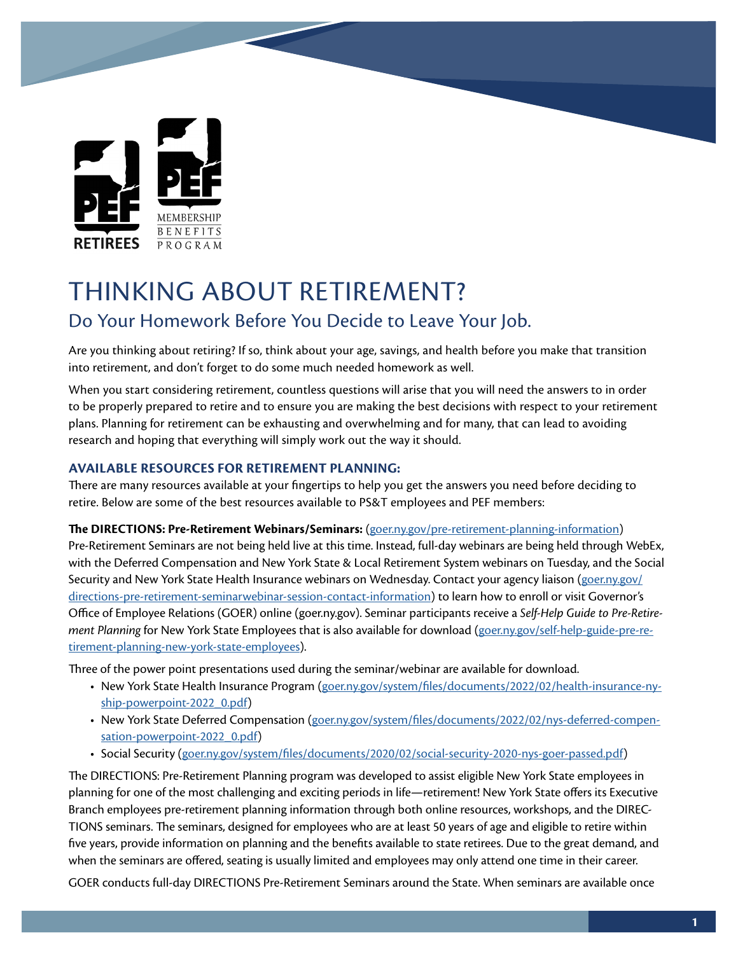

# THINKING ABOUT RETIREMENT?

# Do Your Homework Before You Decide to Leave Your Job.

Are you thinking about retiring? If so, think about your age, savings, and health before you make that transition into retirement, and don't forget to do some much needed homework as well.

When you start considering retirement, countless questions will arise that you will need the answers to in order to be properly prepared to retire and to ensure you are making the best decisions with respect to your retirement plans. Planning for retirement can be exhausting and overwhelming and for many, that can lead to avoiding research and hoping that everything will simply work out the way it should.

# **AVAILABLE RESOURCES FOR RETIREMENT PLANNING:**

There are many resources available at your fingertips to help you get the answers you need before deciding to retire. Below are some of the best resources available to PS&T employees and PEF members:

# **The DIRECTIONS: Pre-Retirement Webinars/Seminars:** ([goer.ny.gov/pre-retirement-planning-information\)](http://goer.ny.gov/pre-retirement-planning-information)

Pre-Retirement Seminars are not being held live at this time. Instead, full-day webinars are being held through WebEx, with the Deferred Compensation and New York State & Local Retirement System webinars on Tuesday, and the Social Security and New York State Health Insurance webinars on Wednesday. Contact your agency liaison ([goer.ny.gov/](http://goer.ny.gov/directions-pre-retirement-seminarwebinar-session-contact-information) [directions-pre-retirement-seminarwebinar-session-contact-information\)](http://goer.ny.gov/directions-pre-retirement-seminarwebinar-session-contact-information) to learn how to enroll or visit Governor's Office of Employee Relations (GOER) online (goer.ny.gov). Seminar participants receive a *Self-Help Guide to Pre-Retirement Planning* for New York State Employees that is also available for download [\(goer.ny.gov/self-help-guide-pre-re](http://goer.ny.gov/self-help-guide-pre-retirement-planning-new-york-state-employees)[tirement-planning-new-york-state-employees\)](http://goer.ny.gov/self-help-guide-pre-retirement-planning-new-york-state-employees).

Three of the power point presentations used during the seminar/webinar are available for download.

- New York State Health Insurance Program [\(goer.ny.gov/system/files/documents/2022/02/health-insurance-ny](http://goer.ny.gov/system/files/documents/2022/02/health-insurance-nyship-powerpoint-2022_0.pdf)[ship-powerpoint-2022\\_0.pdf](http://goer.ny.gov/system/files/documents/2022/02/health-insurance-nyship-powerpoint-2022_0.pdf))
- New York State Deferred Compensation ([goer.ny.gov/system/files/documents/2022/02/nys-deferred-compen](http://goer.ny.gov/system/files/documents/2022/02/nys-deferred-compensation-powerpoint-2022_0.pdf)[sation-powerpoint-2022\\_0.pdf\)](http://goer.ny.gov/system/files/documents/2022/02/nys-deferred-compensation-powerpoint-2022_0.pdf)
- Social Security [\(goer.ny.gov/system/files/documents/2020/02/social-security-2020-nys-goer-passed.pdf](http://goer.ny.gov/system/files/documents/2020/02/social-security-2020-nys-goer-passed.pdf))

The DIRECTIONS: Pre-Retirement Planning program was developed to assist eligible New York State employees in planning for one of the most challenging and exciting periods in life—retirement! New York State offers its Executive Branch employees pre-retirement planning information through both online resources, workshops, and the DIREC-TIONS seminars. The seminars, designed for employees who are at least 50 years of age and eligible to retire within five years, provide information on planning and the benefits available to state retirees. Due to the great demand, and when the seminars are offered, seating is usually limited and employees may only attend one time in their career.

GOER conducts full-day DIRECTIONS Pre-Retirement Seminars around the State. When seminars are available once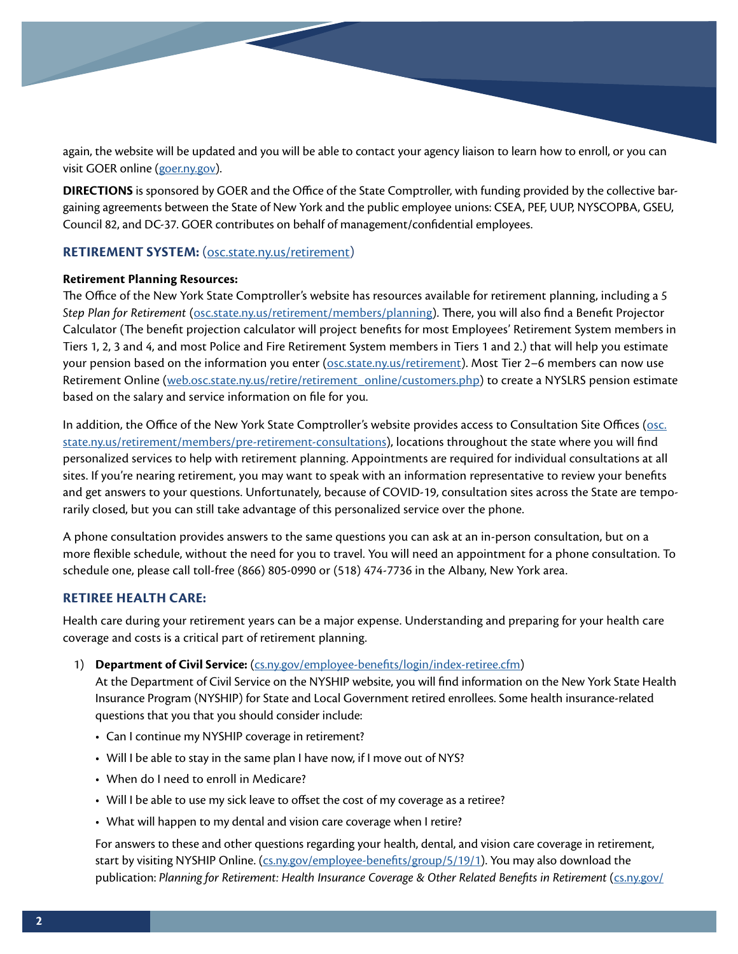again, the website will be updated and you will be able to contact your agency liaison to learn how to enroll, or you can visit GOER online [\(goer.ny.gov\)](http://goer.ny.gov).

**DIRECTIONS** is sponsored by GOER and the Office of the State Comptroller, with funding provided by the collective bargaining agreements between the State of New York and the public employee unions: CSEA, PEF, UUP, NYSCOPBA, GSEU, Council 82, and DC-37. GOER contributes on behalf of management/confidential employees.

# **RETIREMENT SYSTEM:** ([osc.state.ny.us/retirement](http://osc.state.ny.us/retirement))

# **Retirement Planning Resources:**

The Office of the New York State Comptroller's website has resources available for retirement planning, including a *5 Step Plan for Retirement* ([osc.state.ny.us/retirement/members/planning\)](http://osc.state.ny.us/retirement/members/planning). There, you will also find a Benefit Projector Calculator (The benefit projection calculator will project benefits for most Employees' Retirement System members in Tiers 1, 2, 3 and 4, and most Police and Fire Retirement System members in Tiers 1 and 2.) that will help you estimate your pension based on the information you enter ([osc.state.ny.us/retirement\)](http://osc.state.ny.us/retirement). Most Tier 2–6 members can now use Retirement Online ([web.osc.state.ny.us/retire/retirement\\_online/customers.php](http://web.osc.state.ny.us/retire/retirement_online/customers.php)) to create a NYSLRS pension estimate based on the salary and service information on file for you.

In addition, the Office of the New York State Comptroller's website provides access to Consultation Site Offices ([osc.](http://osc.state.ny.us/retirement/members/pre-retirement-consultations) [state.ny.us/retirement/members/pre-retirement-consultations\)](http://osc.state.ny.us/retirement/members/pre-retirement-consultations), locations throughout the state where you will find personalized services to help with retirement planning. Appointments are required for individual consultations at all sites. If you're nearing retirement, you may want to speak with an information representative to review your benefits and get answers to your questions. Unfortunately, because of COVID-19, consultation sites across the State are temporarily closed, but you can still take advantage of this personalized service over the phone.

A phone consultation provides answers to the same questions you can ask at an in-person consultation, but on a more flexible schedule, without the need for you to travel. You will need an appointment for a phone consultation. To schedule one, please call toll-free (866) 805-0990 or (518) 474-7736 in the Albany, New York area.

# **RETIREE HEALTH CARE:**

Health care during your retirement years can be a major expense. Understanding and preparing for your health care coverage and costs is a critical part of retirement planning.

1) **Department of Civil Service:** [\(cs.ny.gov/employee-benefits/login/index-retiree.cfm\)](http://cs.ny.gov/employee-benefits/login/index-retiree.cfm)

At the Department of Civil Service on the NYSHIP website, you will find information on the New York State Health Insurance Program (NYSHIP) for State and Local Government retired enrollees. Some health insurance-related questions that you that you should consider include:

- Can I continue my NYSHIP coverage in retirement?
- Will I be able to stay in the same plan I have now, if I move out of NYS?
- When do I need to enroll in Medicare?
- Will I be able to use my sick leave to offset the cost of my coverage as a retiree?
- What will happen to my dental and vision care coverage when I retire?

For answers to these and other questions regarding your health, dental, and vision care coverage in retirement, start by visiting NYSHIP Online. [\(cs.ny.gov/employee-benefits/group/5/19/1](http://cs.ny.gov/employee-benefits/group/5/19/1)). You may also download the publication: *Planning for Retirement: Health Insurance Coverage & Other Related Benefits in Retirement* (*cs.ny.gov*/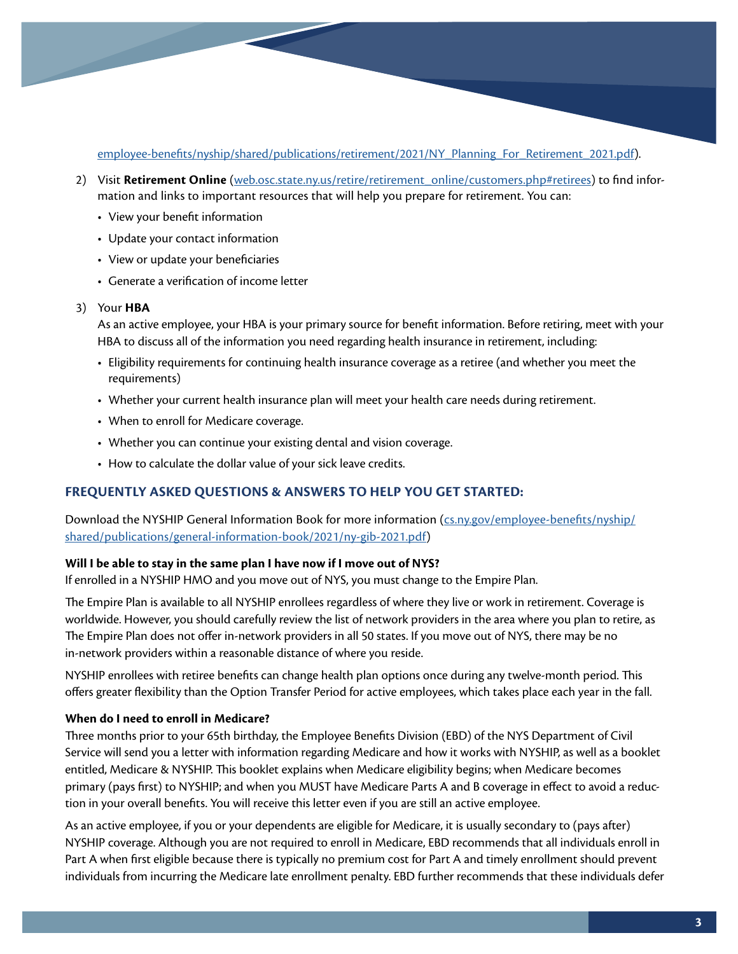[employee-benefits/nyship/shared/publications/retirement/2021/NY\\_Planning\\_For\\_Retirement\\_2021.pdf](http://cs.ny.gov/employee-benefits/nyship/shared/publications/retirement/2021/NY_Planning_For_Retirement_2021.pdf)).

- 2) Visit Retirement Online [\(web.osc.state.ny.us/retire/retirement\\_online/customers.php#retirees\)](http://web.osc.state.ny.us/retire/retirement_online/customers.php#retirees) to find information and links to important resources that will help you prepare for retirement. You can:
	- View your benefit information
	- Update your contact information
	- View or update your beneficiaries
	- Generate a verification of income letter

#### 3) Your **HBA**

As an active employee, your HBA is your primary source for benefit information. Before retiring, meet with your HBA to discuss all of the information you need regarding health insurance in retirement, including:

- Eligibility requirements for continuing health insurance coverage as a retiree (and whether you meet the requirements)
- Whether your current health insurance plan will meet your health care needs during retirement.
- When to enroll for Medicare coverage.
- Whether you can continue your existing dental and vision coverage.
- How to calculate the dollar value of your sick leave credits.

# **FREQUENTLY ASKED QUESTIONS & ANSWERS TO HELP YOU GET STARTED:**

Download the NYSHIP General Information Book for more information ([cs.ny.gov/employee-benefits/nyship/](http://cs.ny.gov/employee-benefits/nyship/shared/publications/general-information-book/2021/ny-gib-2021.pdf) [shared/publications/general-information-book/2021/ny-gib-2021.pdf\)](http://cs.ny.gov/employee-benefits/nyship/shared/publications/general-information-book/2021/ny-gib-2021.pdf)

#### **Will I be able to stay in the same plan I have now if I move out of NYS?**

If enrolled in a NYSHIP HMO and you move out of NYS, you must change to the Empire Plan.

The Empire Plan is available to all NYSHIP enrollees regardless of where they live or work in retirement. Coverage is worldwide. However, you should carefully review the list of network providers in the area where you plan to retire, as The Empire Plan does not offer in-network providers in all 50 states. If you move out of NYS, there may be no in-network providers within a reasonable distance of where you reside.

NYSHIP enrollees with retiree benefits can change health plan options once during any twelve-month period. This offers greater flexibility than the Option Transfer Period for active employees, which takes place each year in the fall.

# **When do I need to enroll in Medicare?**

Three months prior to your 65th birthday, the Employee Benefits Division (EBD) of the NYS Department of Civil Service will send you a letter with information regarding Medicare and how it works with NYSHIP, as well as a booklet entitled, Medicare & NYSHIP. This booklet explains when Medicare eligibility begins; when Medicare becomes primary (pays first) to NYSHIP; and when you MUST have Medicare Parts A and B coverage in effect to avoid a reduction in your overall benefits. You will receive this letter even if you are still an active employee.

As an active employee, if you or your dependents are eligible for Medicare, it is usually secondary to (pays after) NYSHIP coverage. Although you are not required to enroll in Medicare, EBD recommends that all individuals enroll in Part A when first eligible because there is typically no premium cost for Part A and timely enrollment should prevent individuals from incurring the Medicare late enrollment penalty. EBD further recommends that these individuals defer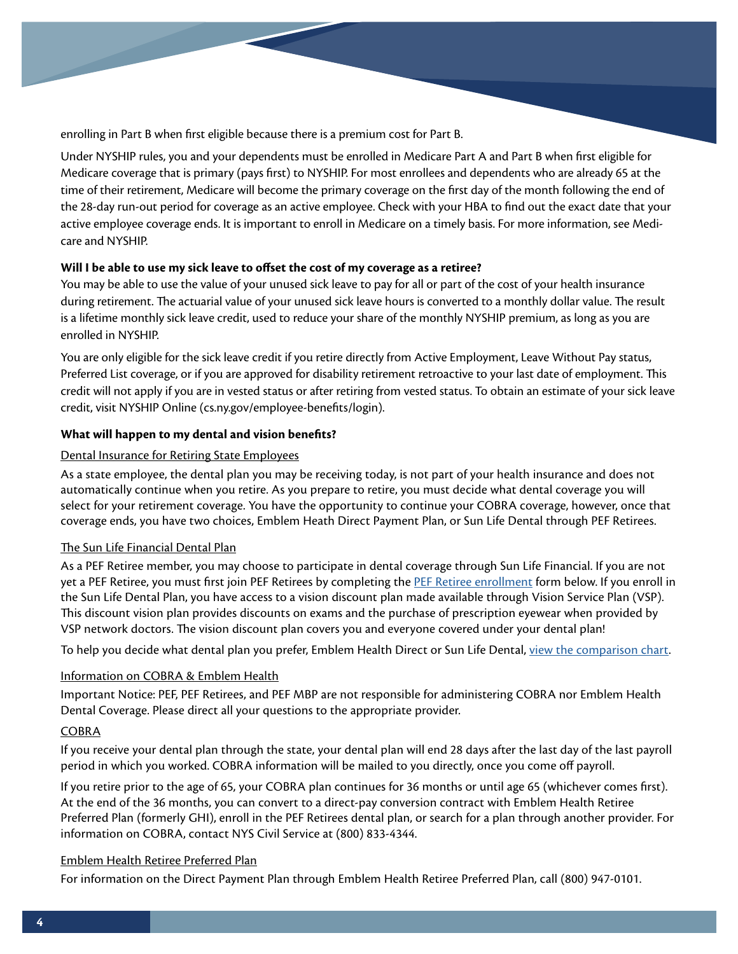enrolling in Part B when first eligible because there is a premium cost for Part B.

Under NYSHIP rules, you and your dependents must be enrolled in Medicare Part A and Part B when first eligible for Medicare coverage that is primary (pays first) to NYSHIP. For most enrollees and dependents who are already 65 at the time of their retirement, Medicare will become the primary coverage on the first day of the month following the end of the 28-day run-out period for coverage as an active employee. Check with your HBA to find out the exact date that your active employee coverage ends. It is important to enroll in Medicare on a timely basis. For more information, see Medicare and NYSHIP.

# **Will I be able to use my sick leave to offset the cost of my coverage as a retiree?**

You may be able to use the value of your unused sick leave to pay for all or part of the cost of your health insurance during retirement. The actuarial value of your unused sick leave hours is converted to a monthly dollar value. The result is a lifetime monthly sick leave credit, used to reduce your share of the monthly NYSHIP premium, as long as you are enrolled in NYSHIP.

You are only eligible for the sick leave credit if you retire directly from Active Employment, Leave Without Pay status, Preferred List coverage, or if you are approved for disability retirement retroactive to your last date of employment. This credit will not apply if you are in vested status or after retiring from vested status. To obtain an estimate of your sick leave credit, visit NYSHIP Online (cs.ny.gov/employee-benefits/login).

# **What will happen to my dental and vision benefits?**

# Dental Insurance for Retiring State Employees

As a state employee, the dental plan you may be receiving today, is not part of your health insurance and does not automatically continue when you retire. As you prepare to retire, you must decide what dental coverage you will select for your retirement coverage. You have the opportunity to continue your COBRA coverage, however, once that coverage ends, you have two choices, Emblem Heath Direct Payment Plan, or Sun Life Dental through PEF Retirees.

# The Sun Life Financial Dental Plan

As a PEF Retiree member, you may choose to participate in dental coverage through Sun Life Financial. If you are not yet a PEF Retiree, you must first join PEF Retirees by completing the [PEF Retiree enrollment](https://www.pefmbp.com/files/retiree_pension_deduction_form.pdf) form below. If you enroll in the Sun Life Dental Plan, you have access to a vision discount plan made available through Vision Service Plan (VSP). This discount vision plan provides discounts on exams and the purchase of prescription eyewear when provided by VSP network doctors. The vision discount plan covers you and everyone covered under your dental plan!

To help you decide what dental plan you prefer, Emblem Health Direct or Sun Life Dental, [view the comparison chart](https://www.pefmbp.com/files/dental_vision_options_retiree.pdf).

# Information on COBRA & Emblem Health

Important Notice: PEF, PEF Retirees, and PEF MBP are not responsible for administering COBRA nor Emblem Health Dental Coverage. Please direct all your questions to the appropriate provider.

# COBRA

If you receive your dental plan through the state, your dental plan will end 28 days after the last day of the last payroll period in which you worked. COBRA information will be mailed to you directly, once you come off payroll.

If you retire prior to the age of 65, your COBRA plan continues for 36 months or until age 65 (whichever comes first). At the end of the 36 months, you can convert to a direct-pay conversion contract with Emblem Health Retiree Preferred Plan (formerly GHI), enroll in the PEF Retirees dental plan, or search for a plan through another provider. For information on COBRA, contact NYS Civil Service at (800) 833-4344.

# Emblem Health Retiree Preferred Plan

For information on the Direct Payment Plan through Emblem Health Retiree Preferred Plan, call (800) 947-0101.